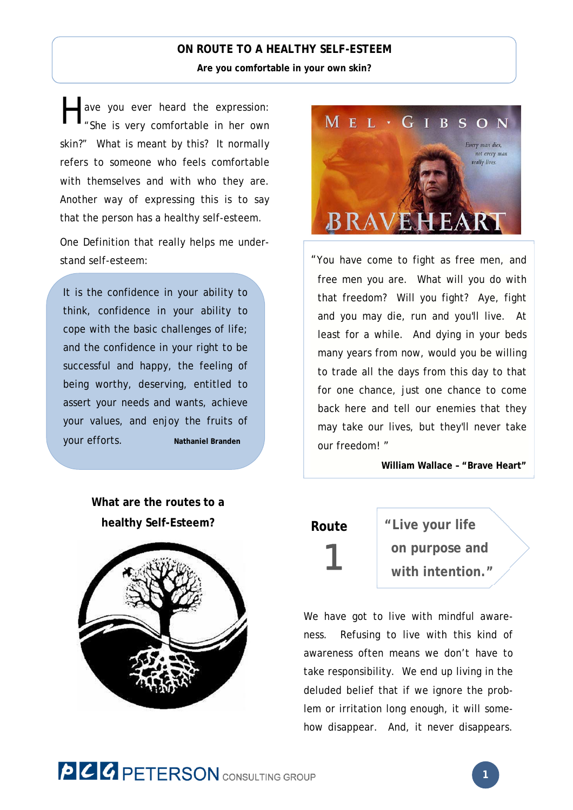### **ON ROUTE TO A HEALTHY SELF-ESTEEM**

**Are you comfortable in your own skin?** 

ave you ever heard the expression: "She is very comfortable in her own skin?" What is meant by this? It normally refers to someone who feels comfortable with themselves and with who they are. Another way of expressing this is to say that the person has a healthy self-esteem. H

One Definition that really helps me understand self-esteem:

It is the confidence in your ability to think, confidence in your ability to cope with the basic challenges of life; and the confidence in your right to be successful and happy, the feeling of being worthy, deserving, entitled to assert your needs and wants, achieve your values, and enjoy the fruits of your efforts. **Nathaniel Branden**

> **What are the routes to a healthy Self-Esteem?**





"You have come to fight as free men, and free men you are. What will you do with that freedom? Will you fight? Aye, fight and you may die, run and you'll live. At least for a while. And dying in your beds many years from now, would you be willing to trade all the days from this day to that for one chance, just one chance to come back here and tell our enemies that they may take our lives, but they'll never take our freedom! "

**William Wallace – "Brave Heart"**

## **Route**

1

**"Live your life on purpose and with intention."** 

We have got to live with mindful awareness. Refusing to live with this kind of awareness often means we don't have to take responsibility. We end up living in the deluded belief that if we ignore the problem or irritation long enough, it will somehow disappear. And, it never disappears.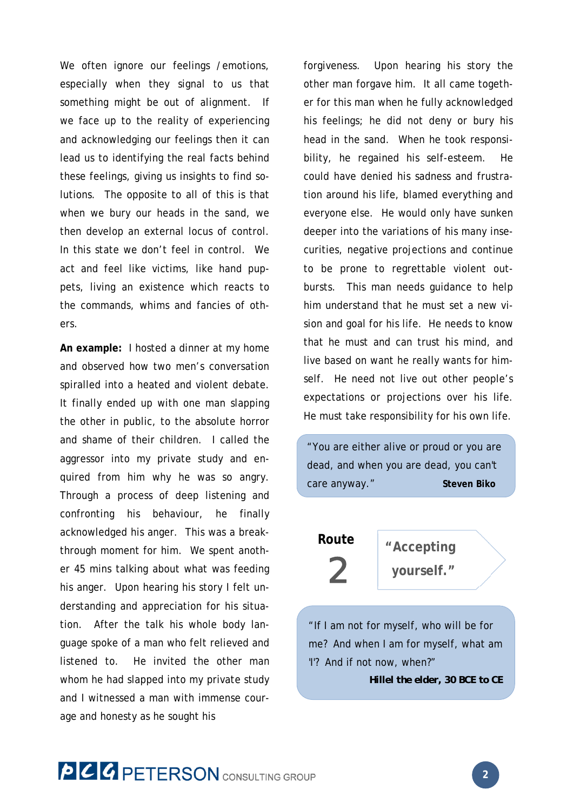We often ignore our feelings / emotions, especially when they signal to us that something might be out of alignment. If we face up to the reality of experiencing and acknowledging our feelings then it can lead us to identifying the real facts behind these feelings, giving us insights to find solutions. The opposite to all of this is that when we bury our heads in the sand, we then develop an external locus of control. In this state we don't feel in control. We act and feel like victims, like hand puppets, living an existence which reacts to the commands, whims and fancies of others.

**An example:** I hosted a dinner at my home and observed how two men's conversation spiralled into a heated and violent debate. It finally ended up with one man slapping the other in public, to the absolute horror and shame of their children. I called the aggressor into my private study and enquired from him why he was so angry. Through a process of deep listening and confronting his behaviour, he finally acknowledged his anger. This was a breakthrough moment for him. We spent another 45 mins talking about what was feeding his anger. Upon hearing his story I felt understanding and appreciation for his situation. After the talk his whole body language spoke of a man who felt relieved and listened to. He invited the other man whom he had slapped into my private study and I witnessed a man with immense courage and honesty as he sought his

forgiveness. Upon hearing his story the other man forgave him. It all came together for this man when he fully acknowledged his feelings; he did not deny or bury his head in the sand. When he took responsibility, he regained his self-esteem. He could have denied his sadness and frustration around his life, blamed everything and everyone else. He would only have sunken deeper into the variations of his many insecurities, negative projections and continue to be prone to regrettable violent outbursts. This man needs guidance to help him understand that he must set a new vision and goal for his life. He needs to know that he must and can trust his mind, and live based on want he really wants for himself. He need not live out other people's expectations or projections over his life. He must take responsibility for his own life.

"You are either alive or proud or you are dead, and when you are dead, you can't care anyway."**Steven Biko** 

# **Route** 2

**"Accepting yourself."**

"If I am not for myself, who will be for me? And when I am for myself, what am 'I'? And if not now, when?"

*Hillel the elder, 30 BCE to CE*

**PCC PETERSON** CONSULTING GROUP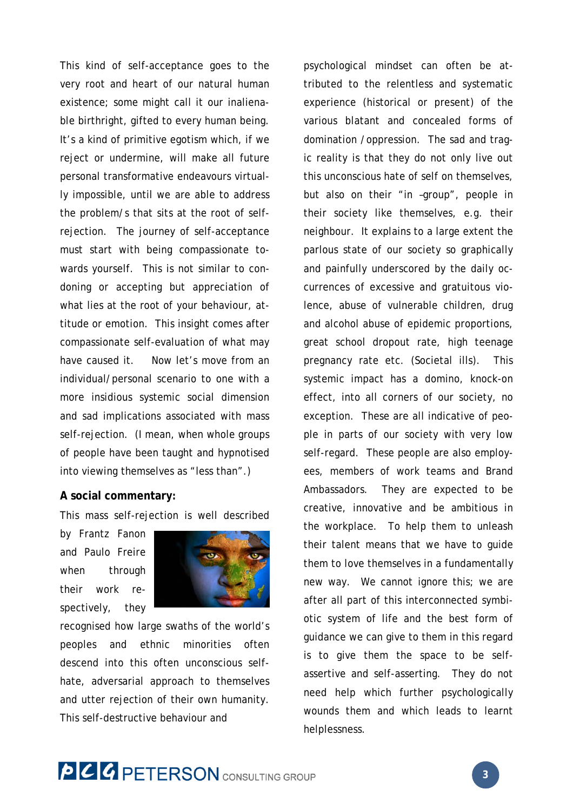This kind of self-acceptance goes to the very root and heart of our natural human existence; some might call it our inalienable birthright, gifted to every human being. It's a kind of primitive egotism which, if we reject or undermine, will make all future personal transformative endeavours virtually impossible, until we are able to address the problem/s that sits at the root of selfrejection. The journey of self-acceptance must start with being compassionate towards yourself. This is not similar to condoning or accepting but appreciation of what lies at the root of your behaviour, attitude or emotion. This insight comes after compassionate self-evaluation of what may have caused it. Now let's move from an individual/personal scenario to one with a more insidious systemic social dimension and sad implications associated with mass self-rejection. (I mean, when whole groups of people have been taught and hypnotised into viewing themselves as "less than".)

#### **A social commentary:**

This mass self-rejection is well described

by Frantz Fanon and Paulo Freire when through their work respectively, they



recognised how large swaths of the world's peoples and ethnic minorities often descend into this often unconscious selfhate, adversarial approach to themselves and utter rejection of their own humanity. This self-destructive behaviour and

psychological mindset can often be attributed to the relentless and systematic experience (historical or present) of the various blatant and concealed forms of domination /oppression. The sad and tragic reality is that they do not only live out this unconscious hate of self on themselves, but also on their "in –group", people in their society like themselves, e.g. their neighbour. It explains to a large extent the parlous state of our society so graphically and painfully underscored by the daily occurrences of excessive and gratuitous violence, abuse of vulnerable children, drug and alcohol abuse of epidemic proportions, great school dropout rate, high teenage pregnancy rate etc. (Societal ills). This systemic impact has a domino, knock-on effect, into all corners of our society, no exception. These are all indicative of people in parts of our society with very low self-regard. These people are also employees, members of work teams and Brand Ambassadors. They are expected to be creative, innovative and be ambitious in the workplace. To help them to unleash their talent means that we have to guide them to love themselves in a fundamentally new way. We cannot ignore this; we are after all part of this interconnected symbiotic system of life and the best form of guidance we can give to them in this regard is to give them the space to be selfassertive and self-asserting. They do not need help which further psychologically wounds them and which leads to learnt helplessness.

# **PCC PETERSON** CONSULTING GROUP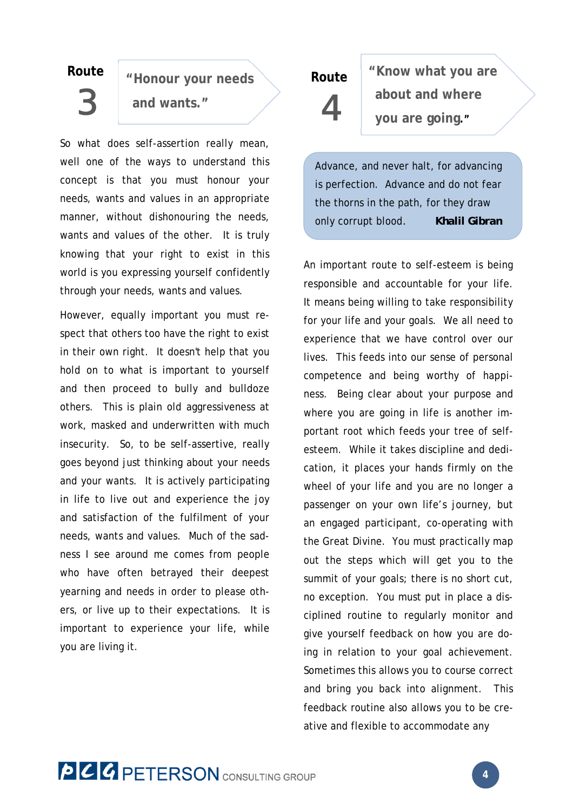## **Route**

3

**"Honour your needs and wants."**

So what does self-assertion really mean, well one of the ways to understand this concept is that you must honour your needs, wants and values in an appropriate manner, without dishonouring the needs, wants and values of the other. It is truly knowing that your right to exist in this world is you expressing yourself confidently through your needs, wants and values.

However, equally important you must respect that others too have the right to exist in their own right. It doesn't help that you hold on to what is important to yourself and then proceed to bully and bulldoze others. This is plain old aggressiveness at work, masked and underwritten with much insecurity. So, to be self-assertive, really goes beyond just thinking about your needs and your wants. It is actively participating in life to live out and experience the joy and satisfaction of the fulfilment of your needs, wants and values. Much of the sadness I see around me comes from people who have often betrayed their deepest yearning and needs in order to please others, or live up to their expectations. It is important to experience your life, while you are living it.

# **Route** 4

**"Know what you are about and where you are going."**

Advance, and never halt, for advancing is perfection. Advance and do not fear the thorns in the path, for they draw only corrupt blood*. Khalil Gibran*

An important route to self-esteem is being responsible and accountable for your life. It means being willing to take responsibility for your life and your goals. We all need to experience that we have control over our lives. This feeds into our sense of personal competence and being worthy of happiness. Being clear about your purpose and where you are going in life is another important root which feeds your tree of selfesteem. While it takes discipline and dedication, it places your hands firmly on the wheel of your life and you are no longer a passenger on your own life's journey, but an engaged participant, co-operating with the Great Divine. You must practically map out the steps which will get you to the summit of your goals; there is no short cut, no exception. You must put in place a disciplined routine to regularly monitor and give yourself feedback on how you are doing in relation to your goal achievement. Sometimes this allows you to course correct and bring you back into alignment. This feedback routine also allows you to be creative and flexible to accommodate any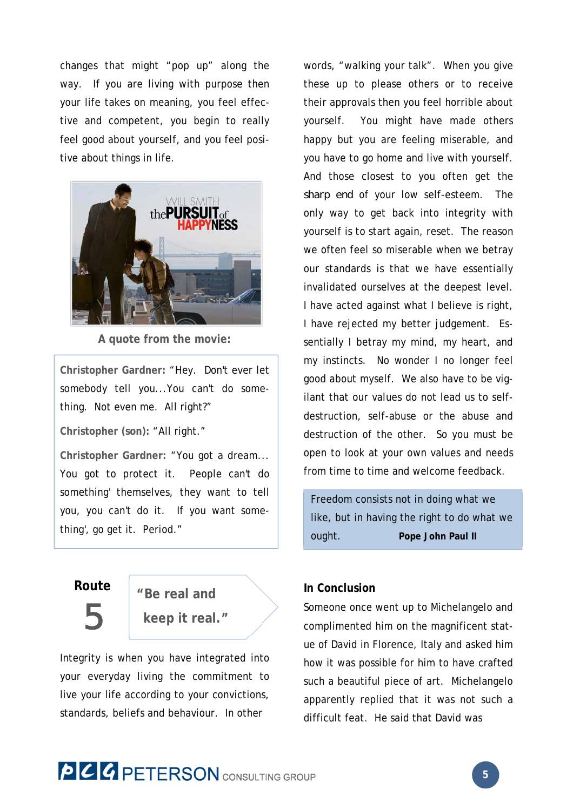changes that might "pop up" along the way. If you are living with purpose then your life takes on meaning, you feel effective and competent, you begin to really feel good about yourself, and you feel positive about things in life.



**A quote from the movie:** 

**Christopher Gardner:** "Hey. Don't ever let somebody tell you...You can't do something. Not even me. All right?"

**Christopher (son):** "All right."

**Christopher Gardner:** "You got a dream... You got to protect it. People can't do something' themselves, they want to tell you, you can't do it. If you want something', go get it. Period."

## **Route**

5

**keep it real."**

**"Be real and** 

Integrity is when you have integrated into your everyday living the commitment to live your life according to your convictions, standards, beliefs and behaviour. In other

words, "walking your talk". When you give these up to please others or to receive their approvals then you feel horrible about yourself. You might have made others happy but you are feeling miserable, and you have to go home and live with yourself. And those closest to you often get the *sharp end* of your low self-esteem. The only way to get back into integrity with yourself is to start again, reset. The reason we often feel so miserable when we betray our standards is that we have essentially invalidated ourselves at the deepest level. I have acted against what I believe is right, I have rejected my better judgement. Essentially I betray my mind, my heart, and my instincts. No wonder I no longer feel good about myself. We also have to be vigilant that our values do not lead us to selfdestruction, self-abuse or the abuse and destruction of the other. So you must be open to look at your own values and needs from time to time and welcome feedback.

Freedom consists not in doing what we like, but in having the right to do what we ought. **Pope John Paul II**

#### **In Conclusion**

Someone once went up to Michelangelo and complimented him on the magnificent statue of David in Florence, Italy and asked him how it was possible for him to have crafted such a beautiful piece of art. Michelangelo apparently replied that it was not such a difficult feat. He said that David was